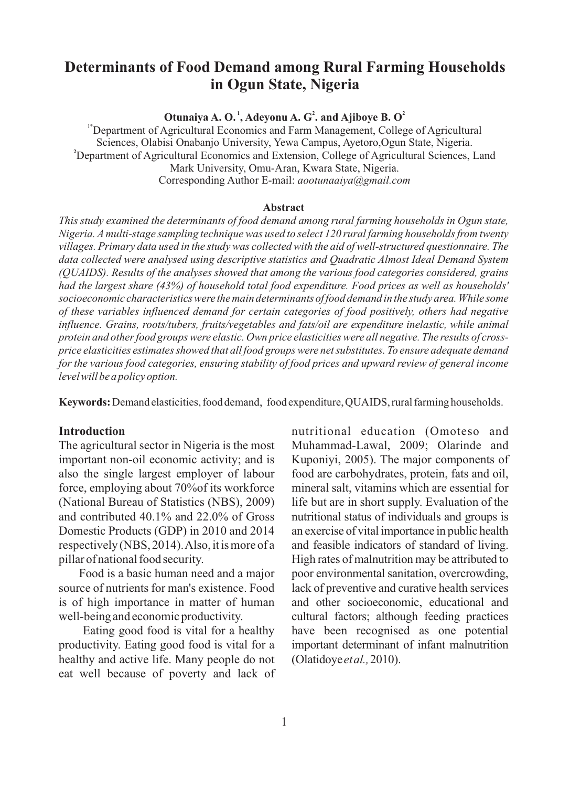# **Determinants of Food Demand among Rural Farming Households in Ogun State, Nigeria**

**<sup>1</sup> <sup>2</sup> <sup>2</sup> Otunaiya A. O. , Adeyonu A. G . and Ajiboye B. O**

<sup>1\*</sup>Department of Agricultural Economics and Farm Management, College of Agricultural Sciences, Olabisi Onabanjo University, Yewa Campus, Ayetoro,Ogun State, Nigeria. **<sup>2</sup>**Department of Agricultural Economics and Extension, College of Agricultural Sciences, Land Mark University, Omu-Aran, Kwara State, Nigeria. Corresponding Author E-mail: *aootunaaiya@gmail.com*

#### **Abstract**

*This study examined the determinants of food demand among rural farming households in Ogun state, Nigeria. A multi-stage sampling technique was used to select 120 rural farming households from twenty villages. Primary data used in the study was collected with the aid of well-structured questionnaire. The data collected were analysed using descriptive statistics and Quadratic Almost Ideal Demand System (QUAIDS). Results of the analyses showed that among the various food categories considered, grains had the largest share (43%) of household total food expenditure. Food prices as well as households' socioeconomic characteristics were the main determinants of food demand in the study area. While some of these variables influenced demand for certain categories of food positively, others had negative influence. Grains, roots/tubers, fruits/vegetables and fats/oil are expenditure inelastic, while animal protein and other food groups were elastic. Own price elasticities were all negative. The results of crossprice elasticities estimates showed that all food groups were net substitutes. To ensure adequate demand for the various food categories, ensuring stability of food prices and upward review of general income level will be a policy option.*

**Keywords:** Demand elasticities, food demand, food expenditure, QUAIDS, rural farming households.

### **Introduction**

The agricultural sector in Nigeria is the most important non-oil economic activity; and is also the single largest employer of labour force, employing about 70%of its workforce (National Bureau of Statistics (NBS), 2009) and contributed 40.1% and 22.0% of Gross Domestic Products (GDP) in 2010 and 2014 respectively (NBS, 2014). Also, it is more of a pillar of national food security.

Food is a basic human need and a major source of nutrients for man's existence. Food is of high importance in matter of human well-being and economic productivity.

Eating good food is vital for a healthy productivity. Eating good food is vital for a healthy and active life. Many people do not eat well because of poverty and lack of nutritional education (Omoteso and Muhammad-Lawal, 2009; Olarinde and Kuponiyi, 2005). The major components of food are carbohydrates, protein, fats and oil, mineral salt, vitamins which are essential for life but are in short supply. Evaluation of the nutritional status of individuals and groups is an exercise of vital importance in public health and feasible indicators of standard of living. High rates of malnutrition may be attributed to poor environmental sanitation, overcrowding, lack of preventive and curative health services and other socioeconomic, educational and cultural factors; although feeding practices have been recognised as one potential important determinant of infant malnutrition (Olatidoye*etal.,*2010).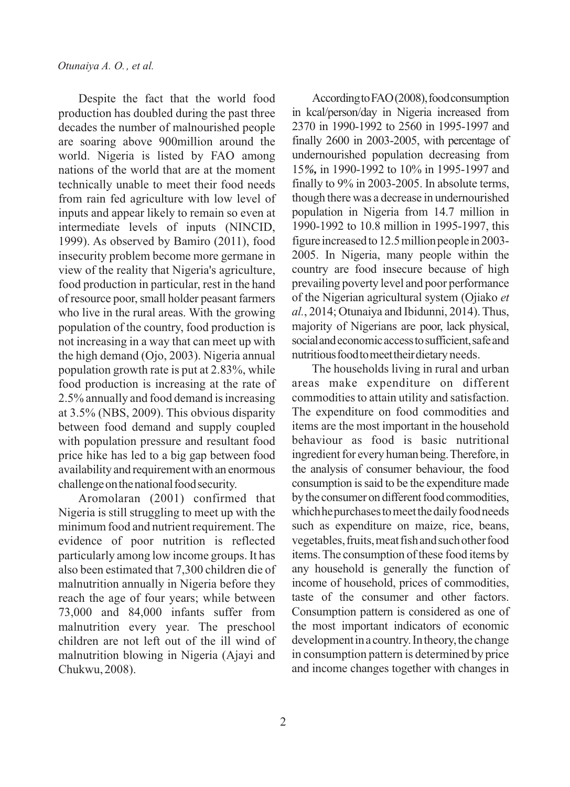Despite the fact that the world food production has doubled during the past three decades the number of malnourished people are soaring above 900million around the world. Nigeria is listed by FAO among nations of the world that are at the moment technically unable to meet their food needs from rain fed agriculture with low level of inputs and appear likely to remain so even at intermediate levels of inputs (NINCID, 1999). As observed by Bamiro (2011), food insecurity problem become more germane in view of the reality that Nigeria's agriculture, food production in particular, rest in the hand of resource poor,small holder peasant farmers who live in the rural areas. With the growing population of the country, food production is not increasing in a way that can meet up with the high demand (Ojo, 2003). Nigeria annual population growth rate is put at 2.83%, while food production is increasing at the rate of 2.5% annually and food demand is increasing at 3.5% (NBS, 2009). This obvious disparity between food demand and supply coupled with population pressure and resultant food price hike has led to a big gap between food availability and requirement with an enormous challenge on the national food security.

Aromolaran (2001) confirmed that Nigeria is still struggling to meet up with the minimum food and nutrient requirement. The evidence of poor nutrition is reflected particularly among low income groups. It has also been estimated that 7,300 children die of malnutrition annually in Nigeria before they reach the age of four years; while between 73,000 and 84,000 infants suffer from malnutrition every year. The preschool children are not left out of the ill wind of malnutrition blowing in Nigeria (Ajayi and Chukwu, 2008).

According to FAO(2008), food consumption in kcal/person/day in Nigeria increased from 2370 in 1990-1992 to 2560 in 1995-1997 and finally 2600 in 2003-2005, with percentage of undernourished population decreasing from 15*%,* in 1990-1992 to 10% in 1995-1997 and finally to 9% in 2003-2005. In absolute terms, though there was a decrease in undernourished population in Nigeria from 14.7 million in 1990-1992 to 10.8 million in 1995-1997, this figure increased to 12.5 million people in 2003-2005. In Nigeria, many people within the country are food insecure because of high prevailing poverty level and poor performance of the Nigerian agricultural system (Ojiako *et al.*, 2014; Otunaiya and Ibidunni, 2014).Thus, majority of Nigerians are poor, lack physical, social and economic access to sufficient, safe and nutritious food to meet their dietary needs.

The households living in rural and urban areas make expenditure on different commodities to attain utility and satisfaction. The expenditure on food commodities and items are the most important in the household behaviour as food is basic nutritional ingredient for every human being. Therefore, in the analysis of consumer behaviour, the food consumption issaid to be the expenditure made by the consumer on different food commodities, which he purchases to meet the daily food needs such as expenditure on maize, rice, beans, vegetables, fruits, meat fish and such other food items. The consumption of these food items by any household is generally the function of income of household, prices of commodities, taste of the consumer and other factors. Consumption pattern is considered as one of the most important indicators of economic development in a country. In theory, the change in consumption pattern is determined by price and income changes together with changes in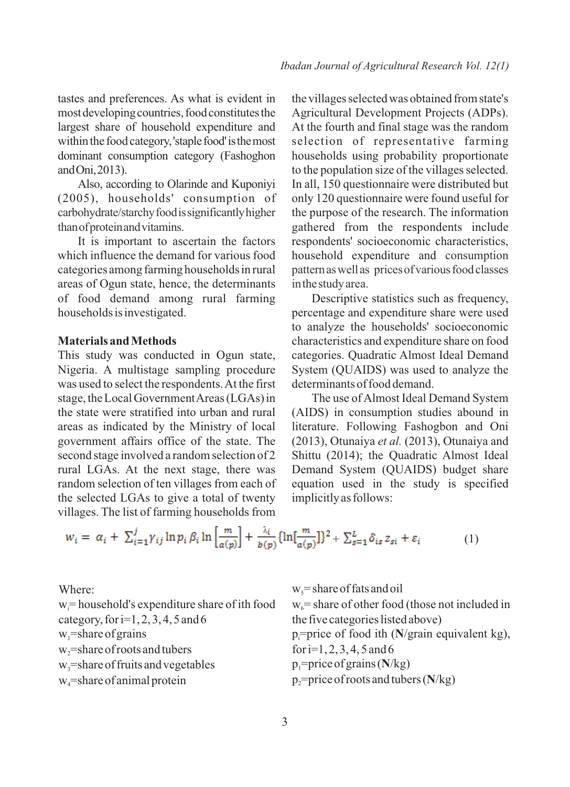tastes and preferences. As what is evident in most developing countries, food constitutes the largest share of household expenditure and within the food category, 'staple food' is the most dominant consumption category (Fashoghon andOni,2013).

Also, according to Olarinde and Kuponiyi (2005), households' consumption of carbohydrate/starchy food is significantly higher than of protein and vitamins.

It is important to ascertain the factors which influence the demand for various food categories among farming households in rural areas of Ogun state, hence, the determinants of food demand among rural farming households is investigated.

### **Materials and Methods**

This study was conducted in Ogun state, Nigeria. A multistage sampling procedure was used to select the respondents. At the first stage, the Local Government Areas (LGAs) in the state were stratified into urban and rural areas as indicated by the Ministry of local government affairs office of the state. The second stage involved a random selection of 2 rural LGAs. At the next stage, there was random selection of ten villages from each of the selected LGAs to give a total of twenty villages. The list of farming households from

the villages selected was obtained from state's Agricultural Development Projects (ADPs). At the fourth and final stage was the random selection of representative farming households using probability proportionate to the population size of the villages selected. In all, 150 questionnaire were distributed but only 120 questionnaire were found useful for the purpose of the research. The information gathered from the respondents include respondents' socioeconomic characteristics, household expenditure and consumption pattern as well as prices of various food classes in the study area.

Descriptive statistics such as frequency, percentage and expenditure share were used to analyze the households' socioeconomic characteristics and expenditure share on food categories. Quadratic Almost Ideal Demand System (QUAIDS) was used to analyze the determinants of food demand.

The use of Almost Ideal Demand System (AIDS) in consumption studies abound in literature. Following Fashogbon and Oni (2013), Otunaiya *et al.* (2013), Otunaiya and Shittu (2014); the Quadratic Almost Ideal Demand System (QUAIDS) budget share equation used in the study is specified implicitly as follows:

$$
w_i = \alpha_i + \sum_{i=1}^j \gamma_{ij} \ln p_i \beta_i \ln \left[ \frac{m}{a(p)} \right] + \frac{\lambda_i}{b(p)} \{ \ln \left[ \frac{m}{a(p)} \right] \}^2 + \sum_{s=1}^L \delta_{is} z_{si} + \varepsilon_i \tag{1}
$$

Where:

 $w =$  household's expenditure share of ith food category, for  $i=1, 2, 3, 4, 5$  and 6  $w_i$ =share of grains w<sub>2</sub>=share of roots and tubers  $w_3$ =share of fruits and vegetables  $w_4$ =share of animal protein

 $w_s$  = share of fats and oil  $w_6$  = share of other food (those not included in the five categories listed above) p=price of food ith (N/grain equivalent kg), for  $i=1, 2, 3, 4, 5$  and 6 p =price of grains (**N**/kg) <sup>1</sup>  $p_2$ =price of roots and tubers ( $N/kg$ )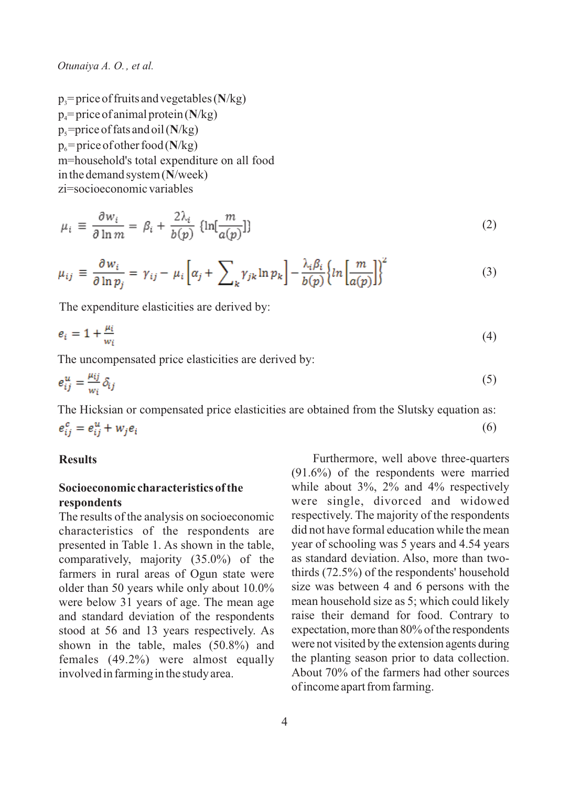*Otunaiya A. O. , et al.*

 $p_1$ = price of fruits and vegetables ( $N/kg$ )  $p_4$ = price of animal protein ( $N/kg$ )  $p_s$ =price of fats and oil ( $N/kg$ )  $p_6$  = price of other food ( $N/kg$ ) m=household's total expenditure on all food in the demand system (**N**/week) zi=socioeconomic variables

$$
\mu_i \equiv \frac{\partial w_i}{\partial \ln m} = \beta_i + \frac{2\lambda_i}{b(p)} \left\{ \ln[\frac{m}{a(p)}] \right\} \tag{2}
$$

$$
\mu_{ij} \equiv \frac{\partial w_i}{\partial \ln p_j} = \gamma_{ij} - \mu_i \left[ \alpha_j + \sum_k \gamma_{jk} \ln p_k \right] - \frac{\lambda_i \beta_i}{b(p)} \left\{ \ln \left[ \frac{m}{a(p)} \right] \right\}^2 \tag{3}
$$

The expenditure elasticities are derived by:

$$
e_i = 1 + \frac{\mu_i}{w_i} \tag{4}
$$

The uncompensated price elasticities are derived by:

$$
e_{ij}^u = \frac{\mu_{ij}}{w_i} \delta_{ij} \tag{5}
$$

The Hicksian or compensated price elasticities are obtained from the Slutsky equation as:  $e_{ii}^c = e_{ii}^u + w_i e_i$ (6)

### **Results**

### **Socioeconomic characteristics of the respondents**

The results of the analysis on socioeconomic characteristics of the respondents are presented in Table 1. As shown in the table, comparatively, majority (35.0%) of the farmers in rural areas of Ogun state were older than 50 years while only about 10.0% were below 31 years of age. The mean age and standard deviation of the respondents stood at 56 and 13 years respectively. As shown in the table, males (50.8%) and females (49.2%) were almost equally involved in farming in the study area.

Furthermore, well above three-quarters (91.6%) of the respondents were married while about  $3\%$ ,  $2\%$  and  $4\%$  respectively were single, divorced and widowed respectively. The majority of the respondents did not have formal education while the mean year of schooling was 5 years and 4.54 years as standard deviation. Also, more than twothirds (72.5%) of the respondents' household size was between 4 and 6 persons with the mean household size as 5; which could likely raise their demand for food. Contrary to expectation, more than 80% of the respondents were not visited by the extension agents during the planting season prior to data collection. About 70% of the farmers had other sources of income apart from farming.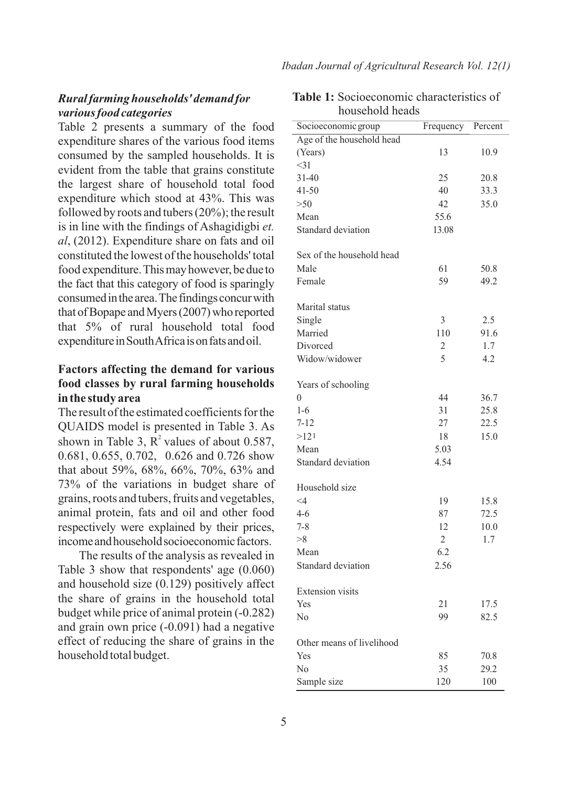## *Rural farming households' demand for various food categories*

Table 2 presents a summary of the food expenditure shares of the various food items consumed by the sampled households. It is evident from the table that grains constitute the largest share of household total food expenditure which stood at 43%. This was followed by roots and tubers (20%); the result is in line with the findings of Ashagidigbi *et. al*, (2012). Expenditure share on fats and oil constituted the lowest of the households' total food expenditure. This may however, be due to the fact that this category of food is sparingly consumed in the area. The findings concur with that of Bopape and Myers (2007) who reported that 5% of rural household total food expenditure in South Africa is on fats and oil.

# **Factors affecting the demand for various food classes by rural farming households in the study area**

The result of the estimated coefficients for the QUAIDS model is presented in Table 3. As shown in Table 3,  $R^2$  values of about 0.587, 0.681, 0.655, 0.702, 0.626 and 0.726 show that about 59%, 68%, 66%, 70%, 63% and 73% of the variations in budget share of grains, roots and tubers, fruits and vegetables, animal protein, fats and oil and other food respectively were explained by their prices, income and household socioeconomic factors.

The results of the analysis as revealed in Table 3 show that respondents' age (0.060) and household size (0.129) positively affect the share of grains in the household total budget while price of animal protein (-0.282) and grain own price (-0.091) had a negative effect of reducing the share of grains in the household total budget.

| <b>Table 1:</b> Socioeconomic characteristics of |  |
|--------------------------------------------------|--|
| household heads                                  |  |

| Percent<br>Age of the household head<br>(Years)<br>13<br>10.9<br>$<$ 31<br>$31 - 40$<br>25<br>20.8<br>41-50<br>40<br>33.3<br>>50<br>42<br>35.0<br>Mean<br>55.6<br>Standard deviation<br>13.08<br>Sex of the household head<br>Male<br>61<br>50.8<br>Female<br>59<br>49.2<br>Marital status<br>3<br>Single<br>2.5<br>Married<br>110<br>91.6<br>Divorced<br>1.7<br>2<br>5<br>Widow/widower<br>4.2<br>Years of schooling<br>$\theta$<br>36.7<br>44<br>$1-6$<br>31<br>25.8<br>$7 - 12$<br>27<br>22.5<br>>121<br>15.0<br>18<br>Mean<br>5.03<br>4.54<br>Standard deviation<br>Household size<br>$\leq$ 4<br>19<br>15.8<br>$4 - 6$<br>87<br>72.5<br>$7 - 8$<br>12<br>10.0<br>>8<br>$\overline{2}$<br>1.7<br>Mean<br>6.2<br>Standard deviation<br>2.56<br><b>Extension</b> visits<br>Yes<br>21<br>17.5 | nousenora neat      |           |      |
|------------------------------------------------------------------------------------------------------------------------------------------------------------------------------------------------------------------------------------------------------------------------------------------------------------------------------------------------------------------------------------------------------------------------------------------------------------------------------------------------------------------------------------------------------------------------------------------------------------------------------------------------------------------------------------------------------------------------------------------------------------------------------------------------|---------------------|-----------|------|
|                                                                                                                                                                                                                                                                                                                                                                                                                                                                                                                                                                                                                                                                                                                                                                                                | Socioeconomic group | Frequency |      |
|                                                                                                                                                                                                                                                                                                                                                                                                                                                                                                                                                                                                                                                                                                                                                                                                |                     |           |      |
|                                                                                                                                                                                                                                                                                                                                                                                                                                                                                                                                                                                                                                                                                                                                                                                                |                     |           |      |
|                                                                                                                                                                                                                                                                                                                                                                                                                                                                                                                                                                                                                                                                                                                                                                                                |                     |           |      |
|                                                                                                                                                                                                                                                                                                                                                                                                                                                                                                                                                                                                                                                                                                                                                                                                |                     |           |      |
|                                                                                                                                                                                                                                                                                                                                                                                                                                                                                                                                                                                                                                                                                                                                                                                                |                     |           |      |
|                                                                                                                                                                                                                                                                                                                                                                                                                                                                                                                                                                                                                                                                                                                                                                                                |                     |           |      |
|                                                                                                                                                                                                                                                                                                                                                                                                                                                                                                                                                                                                                                                                                                                                                                                                |                     |           |      |
|                                                                                                                                                                                                                                                                                                                                                                                                                                                                                                                                                                                                                                                                                                                                                                                                |                     |           |      |
|                                                                                                                                                                                                                                                                                                                                                                                                                                                                                                                                                                                                                                                                                                                                                                                                |                     |           |      |
|                                                                                                                                                                                                                                                                                                                                                                                                                                                                                                                                                                                                                                                                                                                                                                                                |                     |           |      |
|                                                                                                                                                                                                                                                                                                                                                                                                                                                                                                                                                                                                                                                                                                                                                                                                |                     |           |      |
|                                                                                                                                                                                                                                                                                                                                                                                                                                                                                                                                                                                                                                                                                                                                                                                                |                     |           |      |
|                                                                                                                                                                                                                                                                                                                                                                                                                                                                                                                                                                                                                                                                                                                                                                                                |                     |           |      |
|                                                                                                                                                                                                                                                                                                                                                                                                                                                                                                                                                                                                                                                                                                                                                                                                |                     |           |      |
|                                                                                                                                                                                                                                                                                                                                                                                                                                                                                                                                                                                                                                                                                                                                                                                                |                     |           |      |
|                                                                                                                                                                                                                                                                                                                                                                                                                                                                                                                                                                                                                                                                                                                                                                                                |                     |           |      |
|                                                                                                                                                                                                                                                                                                                                                                                                                                                                                                                                                                                                                                                                                                                                                                                                |                     |           |      |
|                                                                                                                                                                                                                                                                                                                                                                                                                                                                                                                                                                                                                                                                                                                                                                                                |                     |           |      |
|                                                                                                                                                                                                                                                                                                                                                                                                                                                                                                                                                                                                                                                                                                                                                                                                |                     |           |      |
|                                                                                                                                                                                                                                                                                                                                                                                                                                                                                                                                                                                                                                                                                                                                                                                                |                     |           |      |
|                                                                                                                                                                                                                                                                                                                                                                                                                                                                                                                                                                                                                                                                                                                                                                                                |                     |           |      |
|                                                                                                                                                                                                                                                                                                                                                                                                                                                                                                                                                                                                                                                                                                                                                                                                |                     |           |      |
|                                                                                                                                                                                                                                                                                                                                                                                                                                                                                                                                                                                                                                                                                                                                                                                                |                     |           |      |
|                                                                                                                                                                                                                                                                                                                                                                                                                                                                                                                                                                                                                                                                                                                                                                                                |                     |           |      |
|                                                                                                                                                                                                                                                                                                                                                                                                                                                                                                                                                                                                                                                                                                                                                                                                |                     |           |      |
|                                                                                                                                                                                                                                                                                                                                                                                                                                                                                                                                                                                                                                                                                                                                                                                                |                     |           |      |
|                                                                                                                                                                                                                                                                                                                                                                                                                                                                                                                                                                                                                                                                                                                                                                                                |                     |           |      |
|                                                                                                                                                                                                                                                                                                                                                                                                                                                                                                                                                                                                                                                                                                                                                                                                |                     |           |      |
|                                                                                                                                                                                                                                                                                                                                                                                                                                                                                                                                                                                                                                                                                                                                                                                                |                     |           |      |
|                                                                                                                                                                                                                                                                                                                                                                                                                                                                                                                                                                                                                                                                                                                                                                                                |                     |           |      |
|                                                                                                                                                                                                                                                                                                                                                                                                                                                                                                                                                                                                                                                                                                                                                                                                |                     |           |      |
|                                                                                                                                                                                                                                                                                                                                                                                                                                                                                                                                                                                                                                                                                                                                                                                                |                     |           |      |
|                                                                                                                                                                                                                                                                                                                                                                                                                                                                                                                                                                                                                                                                                                                                                                                                |                     |           |      |
|                                                                                                                                                                                                                                                                                                                                                                                                                                                                                                                                                                                                                                                                                                                                                                                                |                     |           |      |
|                                                                                                                                                                                                                                                                                                                                                                                                                                                                                                                                                                                                                                                                                                                                                                                                |                     |           |      |
|                                                                                                                                                                                                                                                                                                                                                                                                                                                                                                                                                                                                                                                                                                                                                                                                |                     |           |      |
|                                                                                                                                                                                                                                                                                                                                                                                                                                                                                                                                                                                                                                                                                                                                                                                                |                     |           |      |
|                                                                                                                                                                                                                                                                                                                                                                                                                                                                                                                                                                                                                                                                                                                                                                                                | No                  | 99        | 82.5 |
|                                                                                                                                                                                                                                                                                                                                                                                                                                                                                                                                                                                                                                                                                                                                                                                                |                     |           |      |
| Other means of livelihood                                                                                                                                                                                                                                                                                                                                                                                                                                                                                                                                                                                                                                                                                                                                                                      |                     |           |      |
| Yes<br>85<br>70.8                                                                                                                                                                                                                                                                                                                                                                                                                                                                                                                                                                                                                                                                                                                                                                              |                     |           |      |
| N <sub>0</sub><br>35<br>29.2                                                                                                                                                                                                                                                                                                                                                                                                                                                                                                                                                                                                                                                                                                                                                                   |                     |           |      |
| Sample size<br>120<br>100                                                                                                                                                                                                                                                                                                                                                                                                                                                                                                                                                                                                                                                                                                                                                                      |                     |           |      |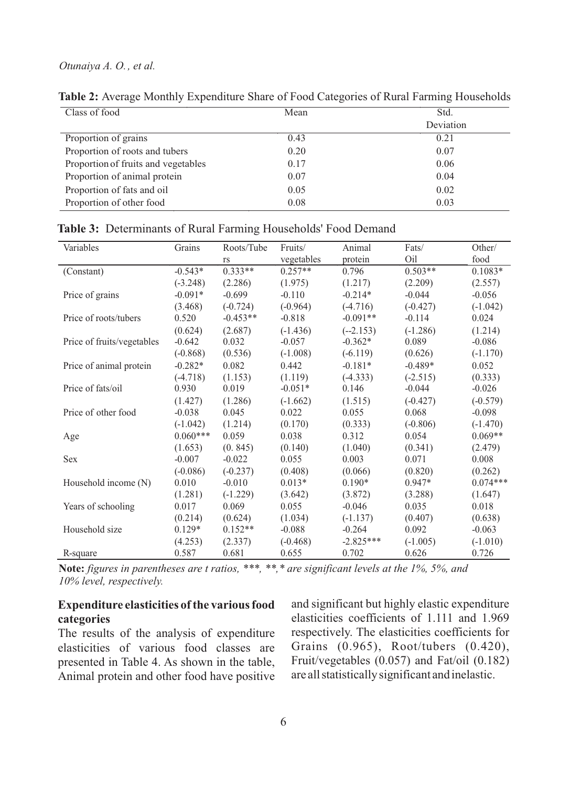| Class of food                       | Mean | Std.      |  |  |
|-------------------------------------|------|-----------|--|--|
|                                     |      | Deviation |  |  |
| Proportion of grains                | 0.43 | 0.21      |  |  |
| Proportion of roots and tubers      | 0.20 | 0.07      |  |  |
| Proportion of fruits and vegetables | 0.17 | 0.06      |  |  |
| Proportion of animal protein        | 0.07 | 0.04      |  |  |
| Proportion of fats and oil          | 0.05 | 0.02      |  |  |
| Proportion of other food            | 0.08 | 0.03      |  |  |

**Table 2:** Average Monthly Expenditure Share of Food Categories of Rural Farming Households

| Variables                  | Grains     | Roots/Tube | Fruits/    | Animal      | Fats/      | Other/     |
|----------------------------|------------|------------|------------|-------------|------------|------------|
|                            |            | rs         | vegetables | protein     | Oil        | food       |
| (Constant)                 | $-0.543*$  | $0.333**$  | $0.257**$  | 0.796       | $0.503**$  | $0.1083*$  |
|                            | $(-3.248)$ | (2.286)    | (1.975)    | (1.217)     | (2.209)    | (2.557)    |
| Price of grains            | $-0.091*$  | $-0.699$   | $-0.110$   | $-0.214*$   | $-0.044$   | $-0.056$   |
|                            | (3.468)    | $(-0.724)$ | $(-0.964)$ | $(-4.716)$  | $(-0.427)$ | $(-1.042)$ |
| Price of roots/tubers      | 0.520      | $-0.453**$ | $-0.818$   | $-0.091**$  | $-0.114$   | 0.024      |
|                            | (0.624)    | (2.687)    | $(-1.436)$ | $(-2.153)$  | $(-1.286)$ | (1.214)    |
| Price of fruits/vegetables | $-0.642$   | 0.032      | $-0.057$   | $-0.362*$   | 0.089      | $-0.086$   |
|                            | $(-0.868)$ | (0.536)    | $(-1.008)$ | $(-6.119)$  | (0.626)    | $(-1.170)$ |
| Price of animal protein    | $-0.282*$  | 0.082      | 0.442      | $-0.181*$   | $-0.489*$  | 0.052      |
|                            | $(-4.718)$ | (1.153)    | (1.119)    | $(-4.333)$  | $(-2.515)$ | (0.333)    |
| Price of fats/oil          | 0.930      | 0.019      | $-0.051*$  | 0.146       | $-0.044$   | $-0.026$   |
|                            | (1.427)    | (1.286)    | $(-1.662)$ | (1.515)     | $(-0.427)$ | $(-0.579)$ |
| Price of other food        | $-0.038$   | 0.045      | 0.022      | 0.055       | 0.068      | $-0.098$   |
|                            | $(-1.042)$ | (1.214)    | (0.170)    | (0.333)     | $(-0.806)$ | $(-1.470)$ |
| Age                        | $0.060***$ | 0.059      | 0.038      | 0.312       | 0.054      | $0.069**$  |
|                            | (1.653)    | (0.845)    | (0.140)    | (1.040)     | (0.341)    | (2.479)    |
| <b>Sex</b>                 | $-0.007$   | $-0.022$   | 0.055      | 0.003       | 0.071      | 0.008      |
|                            | $(-0.086)$ | $(-0.237)$ | (0.408)    | (0.066)     | (0.820)    | (0.262)    |
| Household income (N)       | 0.010      | $-0.010$   | $0.013*$   | $0.190*$    | $0.947*$   | $0.074***$ |
|                            | (1.281)    | $(-1.229)$ | (3.642)    | (3.872)     | (3.288)    | (1.647)    |
| Years of schooling         | 0.017      | 0.069      | 0.055      | $-0.046$    | 0.035      | 0.018      |
|                            | (0.214)    | (0.624)    | (1.034)    | $(-1.137)$  | (0.407)    | (0.638)    |
| Household size             | $0.129*$   | $0.152**$  | $-0.088$   | $-0.264$    | 0.092      | $-0.063$   |
|                            | (4.253)    | (2.337)    | $(-0.468)$ | $-2.825***$ | $(-1.005)$ | $(-1.010)$ |
| R-square                   | 0.587      | 0.681      | 0.655      | 0.702       | 0.626      | 0.726      |
|                            |            |            |            |             |            |            |

**Table 3:** Determinants of Rural Farming Households' Food Demand

**Note:** *figures in parentheses are t ratios, \*\*\*, \*\*,\* are significant levels at the 1%, 5%, and 10% level, respectively.*

### **Expenditure elasticities of the various food categories**

The results of the analysis of expenditure elasticities of various food classes are presented in Table 4. As shown in the table, Animal protein and other food have positive

and significant but highly elastic expenditure elasticities coefficients of 1.111 and 1.969 respectively. The elasticities coefficients for Grains (0.965), Root/tubers (0.420), Fruit/vegetables (0.057) and Fat/oil (0.182) are all statistically significant and inelastic.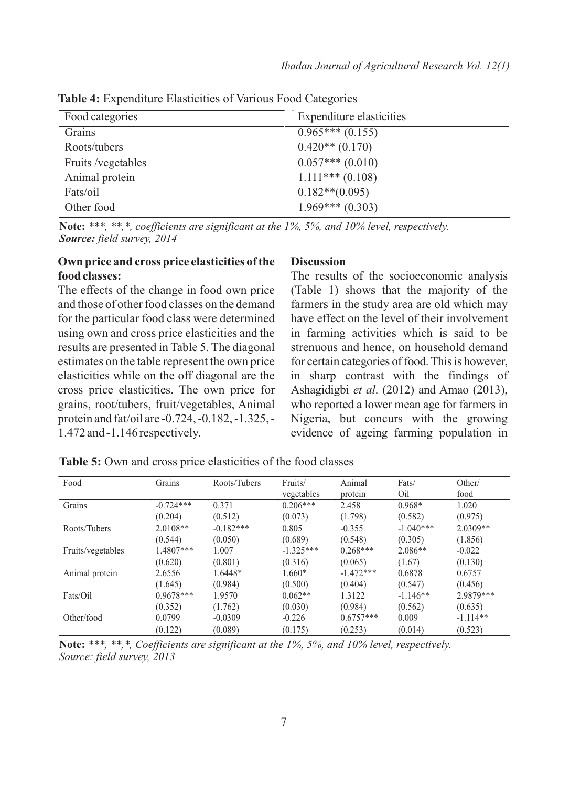| Food categories    | Expenditure elasticities |  |
|--------------------|--------------------------|--|
| Grains             | $0.965***(0.155)$        |  |
| Roots/tubers       | $0.420**$ (0.170)        |  |
| Fruits /vegetables | $0.057***(0.010)$        |  |
| Animal protein     | $1.111***(0.108)$        |  |
| Fats/oil           | $0.182**$ (0.095)        |  |
| Other food         | $1.969***(0.303)$        |  |
|                    |                          |  |

**Table 4:** Expenditure Elasticities of Various Food Categories

**Note:** *\*\*\*, \*\*,\*, coefficients are significant at the 1%, 5%, and 10% level, respectively. Source: field survey, 2014*

### **Own price and cross price elasticities of the food classes:**

The effects of the change in food own price and those of other food classes on the demand for the particular food class were determined using own and cross price elasticities and the results are presented in Table 5. The diagonal estimates on the table represent the own price elasticities while on the off diagonal are the cross price elasticities. The own price for grains, root/tubers, fruit/vegetables, Animal protein and fat/oil are -0.724, -0.182, -1.325, - 1.472 and -1.146 respectively.

#### **Discussion**

The results of the socioeconomic analysis (Table 1) shows that the majority of the farmers in the study area are old which may have effect on the level of their involvement in farming activities which is said to be strenuous and hence, on household demand for certain categories of food. This is however, in sharp contrast with the findings of Ashagidigbi *et al*. (2012) and Amao (2013), who reported a lower mean age for farmers in Nigeria, but concurs with the growing evidence of ageing farming population in

| Food              | Grains      | Roots/Tubers | Fruits/<br>vegetables | Animal<br>protein | Fats/<br>Oil | Other/<br>food |
|-------------------|-------------|--------------|-----------------------|-------------------|--------------|----------------|
| Grains            | $-0.724***$ | 0.371        | $0.206***$            | 2.458             | $0.968*$     | 1.020          |
|                   | (0.204)     | (0.512)      | (0.073)               | (1.798)           | (0.582)      | (0.975)        |
| Roots/Tubers      | $2.0108**$  | $-0.182***$  | 0.805                 | $-0.355$          | $-1.040***$  | $2.0309**$     |
|                   | (0.544)     | (0.050)      | (0.689)               | (0.548)           | (0.305)      | (1.856)        |
| Fruits/vegetables | 1.4807***   | 1.007        | $-1.325***$           | $0.268***$        | $2.086**$    | $-0.022$       |
|                   | (0.620)     | (0.801)      | (0.316)               | (0.065)           | (1.67)       | (0.130)        |
| Animal protein    | 2.6556      | 1.6448*      | $1.660*$              | $-1.472***$       | 0.6878       | 0.6757         |
|                   | (1.645)     | (0.984)      | (0.500)               | (0.404)           | (0.547)      | (0.456)        |
| Fats/Oil          | $0.9678***$ | 1.9570       | $0.062**$             | 1.3122            | $-1.146**$   | 2.9879***      |
|                   | (0.352)     | (1.762)      | (0.030)               | (0.984)           | (0.562)      | (0.635)        |
| Other/food        | 0.0799      | $-0.0309$    | $-0.226$              | $0.6757***$       | 0.009        | $-1.114**$     |
|                   | (0.122)     | (0.089)      | (0.175)               | (0.253)           | (0.014)      | (0.523)        |

**Table 5:** Own and cross price elasticities of the food classes

**Note:** *\*\*\*, \*\*,\*, Coefficients are significant at the 1%, 5%, and 10% level, respectively. Source: field survey, 2013*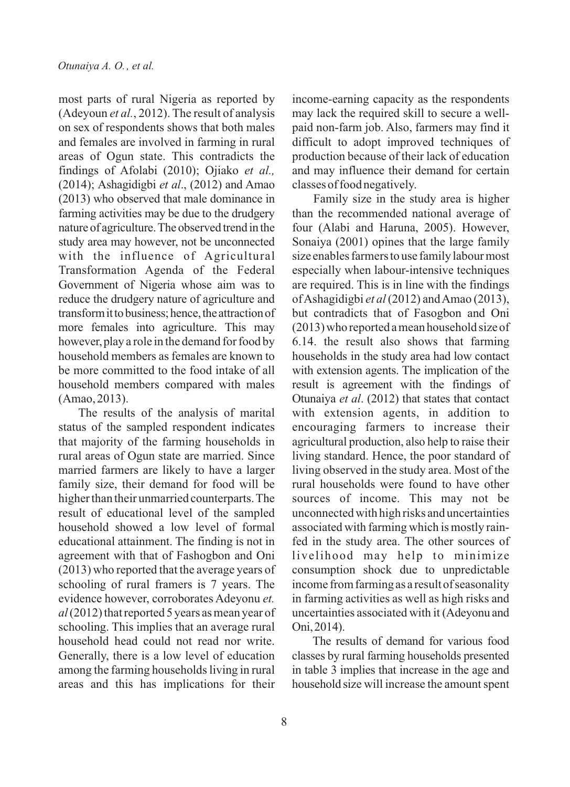most parts of rural Nigeria as reported by (Adeyoun *et al.*, 2012). The result of analysis on sex of respondents shows that both males and females are involved in farming in rural areas of Ogun state. This contradicts the findings of Afolabi (2010); Ojiako *et al.,* (2014); Ashagidigbi *et al*., (2012) and Amao (2013) who observed that male dominance in farming activities may be due to the drudgery nature of agriculture.The observed trend in the study area may however, not be unconnected with the influence of Agricultural Transformation Agenda of the Federal Government of Nigeria whose aim was to reduce the drudgery nature of agriculture and transform it to business; hence, the attraction of more females into agriculture. This may however, play a role in the demand for food by household members as females are known to be more committed to the food intake of all household members compared with males (Amao, 2013).

The results of the analysis of marital status of the sampled respondent indicates that majority of the farming households in rural areas of Ogun state are married. Since married farmers are likely to have a larger family size, their demand for food will be higher than their unmarried counterparts. The result of educational level of the sampled household showed a low level of formal educational attainment. The finding is not in agreement with that of Fashogbon and Oni (2013) who reported that the average years of schooling of rural framers is 7 years. The evidence however, corroborates Adeyonu *et. al* (2012) that reported 5 years as mean year of schooling. This implies that an average rural household head could not read nor write. Generally, there is a low level of education among the farming households living in rural areas and this has implications for their

income-earning capacity as the respondents may lack the required skill to secure a wellpaid non-farm job. Also, farmers may find it difficult to adopt improved techniques of production because of their lack of education and may influence their demand for certain classes of food negatively.

Family size in the study area is higher than the recommended national average of four (Alabi and Haruna, 2005). However, Sonaiya (2001) opines that the large family size enables farmers to use family labour most especially when labour-intensive techniques are required. This is in line with the findings of Ashagidigbi *et al*(2012) and Amao (2013), but contradicts that of Fasogbon and Oni (2013) who reported a mean household size of 6.14. the result also shows that farming households in the study area had low contact with extension agents. The implication of the result is agreement with the findings of Otunaiya *et al*. (2012) that states that contact with extension agents, in addition to encouraging farmers to increase their agricultural production, also help to raise their living standard. Hence, the poor standard of living observed in the study area. Most of the rural households were found to have other sources of income. This may not be unconnected with high risks and uncertainties associated with farming which is mostly rainfed in the study area. The other sources of livelihood may help to minimize consumption shock due to unpredictable income from farming as a result of seasonality in farming activities as well as high risks and uncertainties associated with it (Adeyonu and Oni,2014).

The results of demand for various food classes by rural farming households presented in table 3 implies that increase in the age and household size will increase the amount spent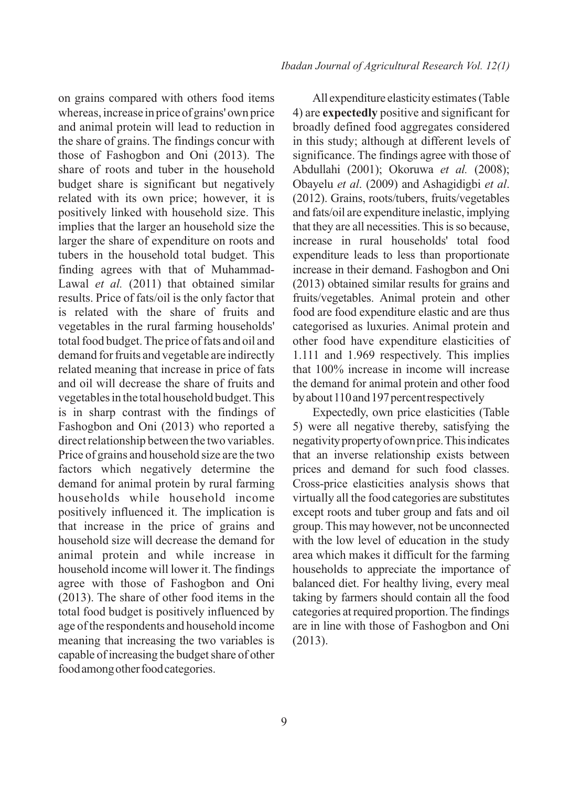*Ibadan Journal of Agricultural Research Vol. 12(1)*

on grains compared with others food items whereas, increase in price of grains' own price and animal protein will lead to reduction in the share of grains. The findings concur with those of Fashogbon and Oni (2013). The share of roots and tuber in the household budget share is significant but negatively related with its own price; however, it is positively linked with household size. This implies that the larger an household size the larger the share of expenditure on roots and tubers in the household total budget. This finding agrees with that of Muhammad-Lawal *et al.* (2011) that obtained similar results. Price of fats/oil is the only factor that is related with the share of fruits and vegetables in the rural farming households' total food budget. The price of fats and oil and demand for fruits and vegetable are indirectly related meaning that increase in price of fats and oil will decrease the share of fruits and vegetables in the total household budget. This is in sharp contrast with the findings of Fashogbon and Oni (2013) who reported a direct relationship between the two variables. Price of grains and household size are the two factors which negatively determine the demand for animal protein by rural farming households while household income positively influenced it. The implication is that increase in the price of grains and household size will decrease the demand for animal protein and while increase in household income will lower it. The findings agree with those of Fashogbon and Oni (2013). The share of other food items in the total food budget is positively influenced by age of the respondents and household income meaning that increasing the two variables is capable of increasing the budget share of other food among other food categories.

All expenditure elasticity estimates (Table 4) are **expectedly** positive and significant for broadly defined food aggregates considered in this study; although at different levels of significance. The findings agree with those of Abdullahi (2001); Okoruwa *et al.* (2008); Obayelu *et al*. (2009) and Ashagidigbi *et al*. (2012). Grains, roots/tubers, fruits/vegetables and fats/oil are expenditure inelastic, implying that they are all necessities. This is so because, increase in rural households' total food expenditure leads to less than proportionate increase in their demand. Fashogbon and Oni (2013) obtained similar results for grains and fruits/vegetables. Animal protein and other food are food expenditure elastic and are thus categorised as luxuries. Animal protein and other food have expenditure elasticities of 1.111 and 1.969 respectively. This implies that 100% increase in income will increase the demand for animal protein and other food by about 110 and 197 percent respectively

Expectedly, own price elasticities (Table 5) were all negative thereby, satisfying the negativitypropertyofownprice.Thisindicates that an inverse relationship exists between prices and demand for such food classes. Cross-price elasticities analysis shows that virtually all the food categories are substitutes except roots and tuber group and fats and oil group. This may however, not be unconnected with the low level of education in the study area which makes it difficult for the farming households to appreciate the importance of balanced diet. For healthy living, every meal taking by farmers should contain all the food categories atrequired proportion.The findings are in line with those of Fashogbon and Oni (2013).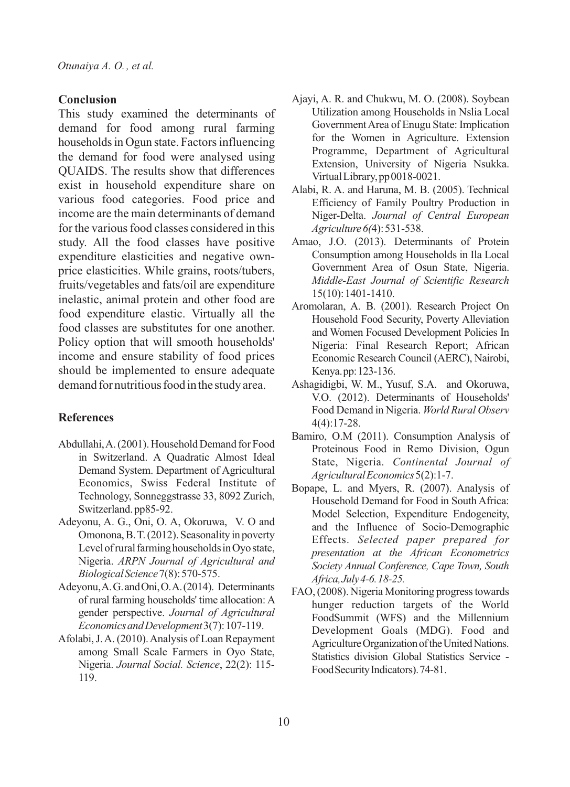### **Conclusion**

This study examined the determinants of demand for food among rural farming households in Ogun state. Factors influencing the demand for food were analysed using QUAIDS. The results show that differences exist in household expenditure share on various food categories. Food price and income are the main determinants of demand for the various food classes considered in this study. All the food classes have positive expenditure elasticities and negative ownprice elasticities. While grains, roots/tubers, fruits/vegetables and fats/oil are expenditure inelastic, animal protein and other food are food expenditure elastic. Virtually all the food classes are substitutes for one another. Policy option that will smooth households' income and ensure stability of food prices should be implemented to ensure adequate demand for nutritious food in the study area.

### **References**

- Abdullahi, A. (2001). Household Demand for Food in Switzerland. A Quadratic Almost Ideal Demand System. Department of Agricultural Economics, Swiss Federal Institute of Technology, Sonneggstrasse 33, 8092 Zurich, Switzerland.pp85-92.
- Adeyonu, A. G., Oni, O. A, Okoruwa, V. O and Omonona, B. T. (2012). Seasonality in poverty Level of rural farming households in Oyo state, Nigeria. *ARPN Journal of Agricultural and BiologicalScience*7(8):570-575.
- Adeyonu,A.G.andOni,O.A.(2014). Determinants of rural farming households'time allocation: A gender perspective. *Journal of Agricultural EconomicsandDevelopment*3(7):107-119.
- Afolabi,J.A. (2010).Analysis of Loan Repayment among Small Scale Farmers in Oyo State, Nigeria. *Journal Social. Science*, 22(2): 115- 119.
- Ajayi, A. R. and Chukwu, M. O. (2008). Soybean Utilization among Households in Nslia Local Government Area of Enugu State: Implication for the Women in Agriculture. Extension Programme, Department of Agricultural Extension, University of Nigeria Nsukka. VirtualLibrary,pp0018-0021.
- Alabi, R. A. and Haruna, M. B. (2005). Technical Efficiency of Family Poultry Production in Niger-Delta. *Journal of Central European Agriculture6(*4):531-538.
- Amao, J.O. (2013). Determinants of Protein Consumption among Households in Ila Local Government Area of Osun State, Nigeria. *Middle-East Journal of Scientific Research* 15(10):1401-1410.
- Aromolaran, A. B. (2001). Research Project On Household Food Security, Poverty Alleviation and Women Focused Development Policies In Nigeria: Final Research Report; African Economic Research Council (AERC), Nairobi, Kenya.pp:123-136.
- Ashagidigbi, W. M., Yusuf, S.A. and Okoruwa, V.O. (2012). Determinants of Households' Food Demand in Nigeria. *World Rural Observ* 4(4):17-28.
- Bamiro, O.M (2011). Consumption Analysis of Proteinous Food in Remo Division, Ogun State, Nigeria. *Continental Journal of AgriculturalEconomics*5(2):1-7.
- Bopape, L. and Myers, R. (2007). Analysis of Household Demand for Food in South Africa: Model Selection, Expenditure Endogeneity, and the Influence of Socio-Demographic Effects. *Selected paper prepared for presentation at the African Econometrics Society Annual Conference, Cape Town, South Africa,July4-6.18-25.*
- FAO,(2008). Nigeria Monitoring progresstowards hunger reduction targets of the World FoodSummit (WFS) and the Millennium Development Goals (MDG). Food and Agriculture Organization of the United Nations. Statistics division Global Statistics Service - Food Security Indicators). 74-81.